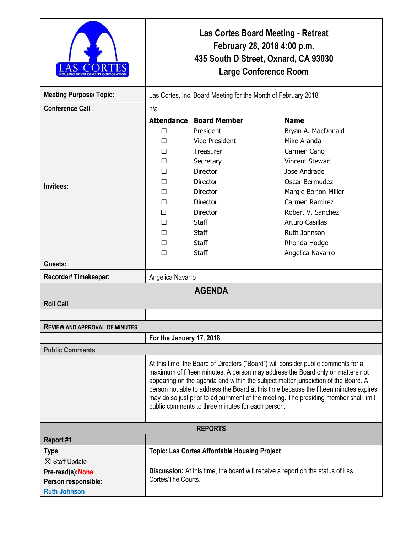|                                       | <b>Las Cortes Board Meeting - Retreat</b><br>February 28, 2018 4:00 p.m.<br>435 South D Street, Oxnard, CA 93030<br><b>Large Conference Room</b>                                                                                                                                                                                                                                                                                                                                                 |                                                                                |                        |  |
|---------------------------------------|--------------------------------------------------------------------------------------------------------------------------------------------------------------------------------------------------------------------------------------------------------------------------------------------------------------------------------------------------------------------------------------------------------------------------------------------------------------------------------------------------|--------------------------------------------------------------------------------|------------------------|--|
| <b>Meeting Purpose/ Topic:</b>        | Las Cortes, Inc. Board Meeting for the Month of February 2018                                                                                                                                                                                                                                                                                                                                                                                                                                    |                                                                                |                        |  |
| <b>Conference Call</b>                | n/a                                                                                                                                                                                                                                                                                                                                                                                                                                                                                              |                                                                                |                        |  |
| Invitees:                             |                                                                                                                                                                                                                                                                                                                                                                                                                                                                                                  | <b>Attendance Board Member</b>                                                 | <b>Name</b>            |  |
|                                       | П                                                                                                                                                                                                                                                                                                                                                                                                                                                                                                | President                                                                      | Bryan A. MacDonald     |  |
|                                       | П                                                                                                                                                                                                                                                                                                                                                                                                                                                                                                | Vice-President                                                                 | Mike Aranda            |  |
|                                       | П                                                                                                                                                                                                                                                                                                                                                                                                                                                                                                | <b>Treasurer</b>                                                               | Carmen Cano            |  |
|                                       | П                                                                                                                                                                                                                                                                                                                                                                                                                                                                                                | Secretary                                                                      | <b>Vincent Stewart</b> |  |
|                                       | П                                                                                                                                                                                                                                                                                                                                                                                                                                                                                                | <b>Director</b>                                                                | Jose Andrade           |  |
|                                       | П                                                                                                                                                                                                                                                                                                                                                                                                                                                                                                | <b>Director</b>                                                                | Oscar Bermudez         |  |
|                                       | п                                                                                                                                                                                                                                                                                                                                                                                                                                                                                                | <b>Director</b>                                                                | Margie Borjon-Miller   |  |
|                                       | П                                                                                                                                                                                                                                                                                                                                                                                                                                                                                                | Director                                                                       | Carmen Ramirez         |  |
|                                       | п                                                                                                                                                                                                                                                                                                                                                                                                                                                                                                | <b>Director</b>                                                                | Robert V. Sanchez      |  |
|                                       | П                                                                                                                                                                                                                                                                                                                                                                                                                                                                                                | <b>Staff</b>                                                                   | Arturo Casillas        |  |
|                                       | П                                                                                                                                                                                                                                                                                                                                                                                                                                                                                                | <b>Staff</b>                                                                   | Ruth Johnson           |  |
|                                       | ⊓                                                                                                                                                                                                                                                                                                                                                                                                                                                                                                | <b>Staff</b>                                                                   | Rhonda Hodge           |  |
|                                       | □                                                                                                                                                                                                                                                                                                                                                                                                                                                                                                | <b>Staff</b>                                                                   | Angelica Navarro       |  |
| Guests:                               |                                                                                                                                                                                                                                                                                                                                                                                                                                                                                                  |                                                                                |                        |  |
| Recorder/Timekeeper:                  | Angelica Navarro                                                                                                                                                                                                                                                                                                                                                                                                                                                                                 |                                                                                |                        |  |
| <b>AGENDA</b>                         |                                                                                                                                                                                                                                                                                                                                                                                                                                                                                                  |                                                                                |                        |  |
| <b>Roll Call</b>                      |                                                                                                                                                                                                                                                                                                                                                                                                                                                                                                  |                                                                                |                        |  |
|                                       |                                                                                                                                                                                                                                                                                                                                                                                                                                                                                                  |                                                                                |                        |  |
| <b>REVIEW AND APPROVAL OF MINUTES</b> |                                                                                                                                                                                                                                                                                                                                                                                                                                                                                                  |                                                                                |                        |  |
|                                       | For the January 17, 2018                                                                                                                                                                                                                                                                                                                                                                                                                                                                         |                                                                                |                        |  |
| <b>Public Comments</b>                |                                                                                                                                                                                                                                                                                                                                                                                                                                                                                                  |                                                                                |                        |  |
|                                       | At this time, the Board of Directors ("Board") will consider public comments for a<br>maximum of fifteen minutes. A person may address the Board only on matters not<br>appearing on the agenda and within the subject matter jurisdiction of the Board. A<br>person not able to address the Board at this time because the fifteen minutes expires<br>may do so just prior to adjournment of the meeting. The presiding member shall limit<br>public comments to three minutes for each person. |                                                                                |                        |  |
| <b>REPORTS</b>                        |                                                                                                                                                                                                                                                                                                                                                                                                                                                                                                  |                                                                                |                        |  |
| Report #1                             |                                                                                                                                                                                                                                                                                                                                                                                                                                                                                                  |                                                                                |                        |  |
| Type:                                 |                                                                                                                                                                                                                                                                                                                                                                                                                                                                                                  | <b>Topic: Las Cortes Affordable Housing Project</b>                            |                        |  |
| ⊠ Staff Update                        |                                                                                                                                                                                                                                                                                                                                                                                                                                                                                                  |                                                                                |                        |  |
| Pre-read(s): None                     | Cortes/The Courts.                                                                                                                                                                                                                                                                                                                                                                                                                                                                               | Discussion: At this time, the board will receive a report on the status of Las |                        |  |
| Person responsible:                   |                                                                                                                                                                                                                                                                                                                                                                                                                                                                                                  |                                                                                |                        |  |
| <b>Ruth Johnson</b>                   |                                                                                                                                                                                                                                                                                                                                                                                                                                                                                                  |                                                                                |                        |  |